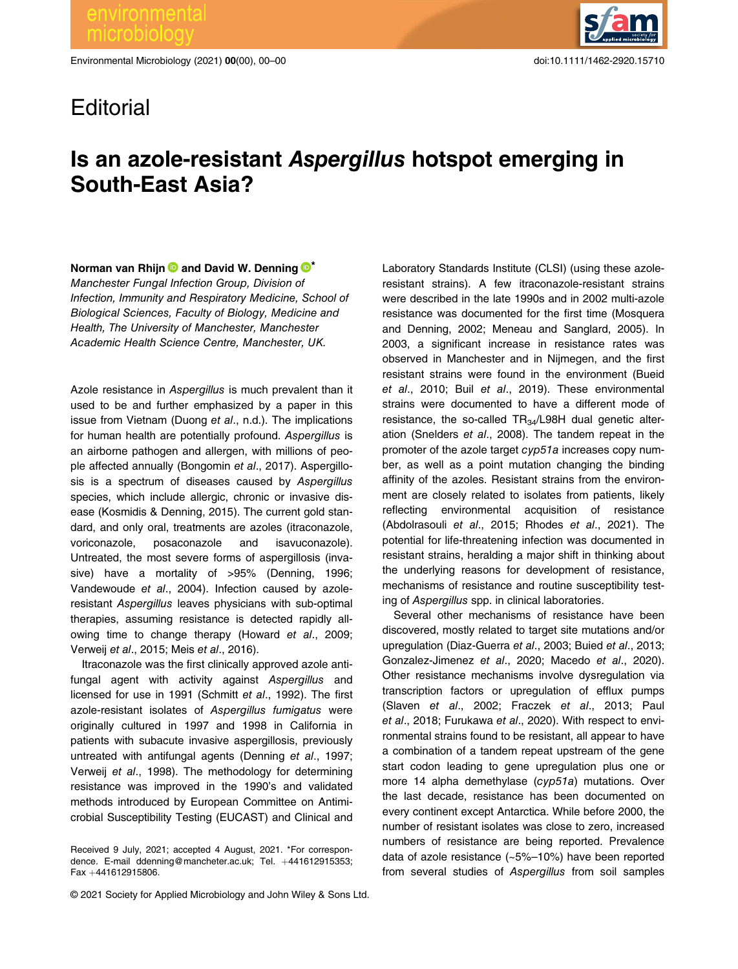Environmental Microbiology (2021) 00(00), 00–00 doi:10.1111/1462-2920.15710



## **Editorial**

## Is an azole-resistant Aspergillus hotspot emerging in South-East Asia?

Norman van Rhijn  $\bullet$  and David W. Denning  $\bullet^*$ 

Manchester Fungal Infection Group, Division of Infection, Immunity and Respiratory Medicine, School of Biological Sciences, Faculty of Biology, Medicine and Health, The University of Manchester, Manchester Academic Health Science Centre, Manchester, UK.

Azole resistance in Aspergillus is much prevalent than it used to be and further emphasized by a paper in this issue from Vietnam (Duong et al., n.d.). The implications for human health are potentially profound. Aspergillus is an airborne pathogen and allergen, with millions of people affected annually (Bongomin et al., 2017). Aspergillosis is a spectrum of diseases caused by Aspergillus species, which include allergic, chronic or invasive disease (Kosmidis & Denning, 2015). The current gold standard, and only oral, treatments are azoles (itraconazole, voriconazole, posaconazole and isavuconazole). Untreated, the most severe forms of aspergillosis (invasive) have a mortality of >95% (Denning, 1996; Vandewoude et al., 2004). Infection caused by azoleresistant Aspergillus leaves physicians with sub-optimal therapies, assuming resistance is detected rapidly allowing time to change therapy (Howard et al., 2009; Verweij et al., 2015; Meis et al., 2016).

Itraconazole was the first clinically approved azole antifungal agent with activity against Aspergillus and licensed for use in 1991 (Schmitt et al., 1992). The first azole-resistant isolates of Aspergillus fumigatus were originally cultured in 1997 and 1998 in California in patients with subacute invasive aspergillosis, previously untreated with antifungal agents (Denning et al., 1997; Verweij et al., 1998). The methodology for determining resistance was improved in the 1990's and validated methods introduced by European Committee on Antimicrobial Susceptibility Testing (EUCAST) and Clinical and

Laboratory Standards Institute (CLSI) (using these azoleresistant strains). A few itraconazole-resistant strains were described in the late 1990s and in 2002 multi-azole resistance was documented for the first time (Mosquera and Denning, 2002; Meneau and Sanglard, 2005). In 2003, a significant increase in resistance rates was observed in Manchester and in Nijmegen, and the first resistant strains were found in the environment (Bueid et al., 2010; Buil et al., 2019). These environmental strains were documented to have a different mode of resistance, the so-called  $TR_{34}/L98H$  dual genetic alteration (Snelders et al., 2008). The tandem repeat in the promoter of the azole target cyp51a increases copy number, as well as a point mutation changing the binding affinity of the azoles. Resistant strains from the environment are closely related to isolates from patients, likely reflecting environmental acquisition of resistance (Abdolrasouli et al., 2015; Rhodes et al., 2021). The potential for life-threatening infection was documented in resistant strains, heralding a major shift in thinking about the underlying reasons for development of resistance, mechanisms of resistance and routine susceptibility testing of Aspergillus spp. in clinical laboratories.

Several other mechanisms of resistance have been discovered, mostly related to target site mutations and/or upregulation (Diaz-Guerra et al., 2003; Buied et al., 2013; Gonzalez-Jimenez et al., 2020; Macedo et al., 2020). Other resistance mechanisms involve dysregulation via transcription factors or upregulation of efflux pumps (Slaven et al., 2002; Fraczek et al., 2013; Paul et al., 2018; Furukawa et al., 2020). With respect to environmental strains found to be resistant, all appear to have a combination of a tandem repeat upstream of the gene start codon leading to gene upregulation plus one or more 14 alpha demethylase (cyp51a) mutations. Over the last decade, resistance has been documented on every continent except Antarctica. While before 2000, the number of resistant isolates was close to zero, increased numbers of resistance are being reported. Prevalence data of azole resistance (~5%–10%) have been reported from several studies of Aspergillus from soil samples

Received 9 July, 2021; accepted 4 August, 2021. \*For correspondence. E-mail [ddenning@mancheter.ac.uk](mailto:ddenning@mancheter.ac.uk); Tel. +441612915353; Fax +441612915806.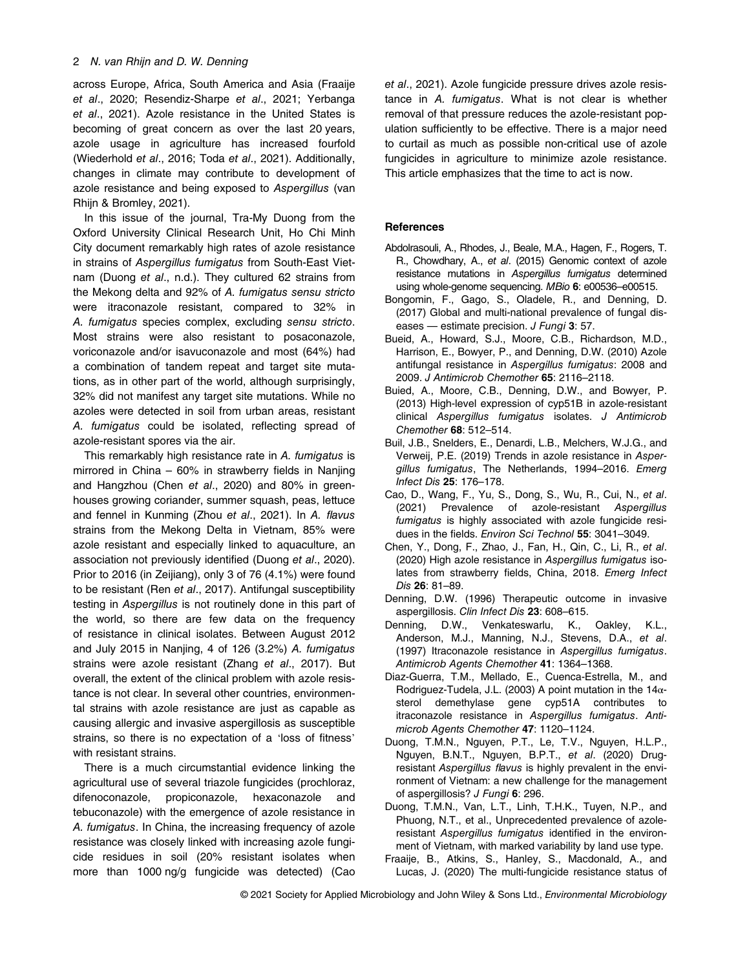across Europe, Africa, South America and Asia (Fraaije et al., 2020; Resendiz-Sharpe et al., 2021; Yerbanga et al., 2021). Azole resistance in the United States is becoming of great concern as over the last 20 years, azole usage in agriculture has increased fourfold (Wiederhold et al., 2016; Toda et al., 2021). Additionally, changes in climate may contribute to development of azole resistance and being exposed to Aspergillus (van Rhijn & Bromley, 2021).

In this issue of the journal, Tra-My Duong from the Oxford University Clinical Research Unit, Ho Chi Minh City document remarkably high rates of azole resistance in strains of Aspergillus fumigatus from South-East Vietnam (Duong et al., n.d.). They cultured 62 strains from the Mekong delta and 92% of A. fumigatus sensu stricto were itraconazole resistant, compared to 32% in A. fumigatus species complex, excluding sensu stricto. Most strains were also resistant to posaconazole, voriconazole and/or isavuconazole and most (64%) had a combination of tandem repeat and target site mutations, as in other part of the world, although surprisingly, 32% did not manifest any target site mutations. While no azoles were detected in soil from urban areas, resistant A. fumigatus could be isolated, reflecting spread of azole-resistant spores via the air.

This remarkably high resistance rate in A. fumigatus is mirrored in China – 60% in strawberry fields in Nanjing and Hangzhou (Chen et al., 2020) and 80% in greenhouses growing coriander, summer squash, peas, lettuce and fennel in Kunming (Zhou et al., 2021). In A. flavus strains from the Mekong Delta in Vietnam, 85% were azole resistant and especially linked to aquaculture, an association not previously identified (Duong et al., 2020). Prior to 2016 (in Zeijiang), only 3 of 76 (4.1%) were found to be resistant (Ren et al., 2017). Antifungal susceptibility testing in Aspergillus is not routinely done in this part of the world, so there are few data on the frequency of resistance in clinical isolates. Between August 2012 and July 2015 in Nanjing, 4 of 126 (3.2%) A. fumigatus strains were azole resistant (Zhang et al., 2017). But overall, the extent of the clinical problem with azole resistance is not clear. In several other countries, environmental strains with azole resistance are just as capable as causing allergic and invasive aspergillosis as susceptible strains, so there is no expectation of a 'loss of fitness' with resistant strains.

There is a much circumstantial evidence linking the agricultural use of several triazole fungicides (prochloraz, difenoconazole, propiconazole, hexaconazole and tebuconazole) with the emergence of azole resistance in A. fumigatus. In China, the increasing frequency of azole resistance was closely linked with increasing azole fungicide residues in soil (20% resistant isolates when more than 1000 ng/g fungicide was detected) (Cao et al., 2021). Azole fungicide pressure drives azole resistance in A. fumigatus. What is not clear is whether removal of that pressure reduces the azole-resistant population sufficiently to be effective. There is a major need to curtail as much as possible non-critical use of azole fungicides in agriculture to minimize azole resistance. This article emphasizes that the time to act is now.

## **References**

- Abdolrasouli, A., Rhodes, J., Beale, M.A., Hagen, F., Rogers, T. R., Chowdhary, A., et al. (2015) Genomic context of azole resistance mutations in Aspergillus fumigatus determined using whole-genome sequencing. MBio 6: e00536–e00515.
- Bongomin, F., Gago, S., Oladele, R., and Denning, D. (2017) Global and multi-national prevalence of fungal diseases — estimate precision. J Fungi 3: 57.
- Bueid, A., Howard, S.J., Moore, C.B., Richardson, M.D., Harrison, E., Bowyer, P., and Denning, D.W. (2010) Azole antifungal resistance in Aspergillus fumigatus: 2008 and 2009. J Antimicrob Chemother 65: 2116–2118.
- Buied, A., Moore, C.B., Denning, D.W., and Bowyer, P. (2013) High-level expression of cyp51B in azole-resistant clinical Aspergillus fumigatus isolates. J Antimicrob Chemother 68: 512–514.
- Buil, J.B., Snelders, E., Denardi, L.B., Melchers, W.J.G., and Verweij, P.E. (2019) Trends in azole resistance in Aspergillus fumigatus, The Netherlands, 1994–2016. Emerg Infect Dis 25: 176–178.
- Cao, D., Wang, F., Yu, S., Dong, S., Wu, R., Cui, N., et al. (2021) Prevalence of azole-resistant Aspergillus fumigatus is highly associated with azole fungicide residues in the fields. Environ Sci Technol 55: 3041–3049.
- Chen, Y., Dong, F., Zhao, J., Fan, H., Qin, C., Li, R., et al. (2020) High azole resistance in Aspergillus fumigatus isolates from strawberry fields, China, 2018. Emerg Infect Dis 26: 81–89.
- Denning, D.W. (1996) Therapeutic outcome in invasive aspergillosis. Clin Infect Dis 23: 608–615.
- Denning, D.W., Venkateswarlu, K., Oakley, K.L., Anderson, M.J., Manning, N.J., Stevens, D.A., et al. (1997) Itraconazole resistance in Aspergillus fumigatus. Antimicrob Agents Chemother 41: 1364–1368.
- Diaz-Guerra, T.M., Mellado, E., Cuenca-Estrella, M., and Rodriguez-Tudela, J.L. (2003) A point mutation in the 14αsterol demethylase gene cyp51A contributes to itraconazole resistance in Aspergillus fumigatus. Antimicrob Agents Chemother 47: 1120–1124.
- Duong, T.M.N., Nguyen, P.T., Le, T.V., Nguyen, H.L.P., Nguyen, B.N.T., Nguyen, B.P.T., et al. (2020) Drugresistant Aspergillus flavus is highly prevalent in the environment of Vietnam: a new challenge for the management of aspergillosis? J Fungi 6: 296.
- Duong, T.M.N., Van, L.T., Linh, T.H.K., Tuyen, N.P., and Phuong, N.T., et al., Unprecedented prevalence of azoleresistant Aspergillus fumigatus identified in the environment of Vietnam, with marked variability by land use type.
- Fraaije, B., Atkins, S., Hanley, S., Macdonald, A., and Lucas, J. (2020) The multi-fungicide resistance status of